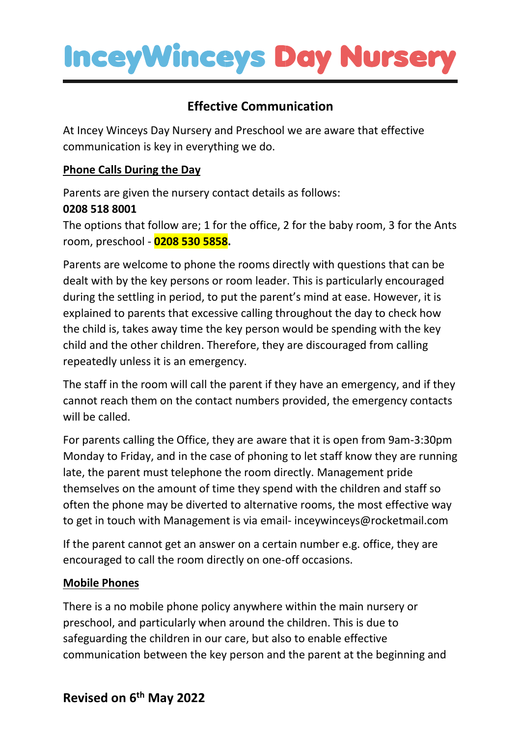

# **Effective Communication**

At Incey Winceys Day Nursery and Preschool we are aware that effective communication is key in everything we do.

### **Phone Calls During the Day**

Parents are given the nursery contact details as follows: **0208 518 8001** 

The options that follow are; 1 for the office, 2 for the baby room, 3 for the Ants room, preschool - **0208 530 5858.**

Parents are welcome to phone the rooms directly with questions that can be dealt with by the key persons or room leader. This is particularly encouraged during the settling in period, to put the parent's mind at ease. However, it is explained to parents that excessive calling throughout the day to check how the child is, takes away time the key person would be spending with the key child and the other children. Therefore, they are discouraged from calling repeatedly unless it is an emergency.

The staff in the room will call the parent if they have an emergency, and if they cannot reach them on the contact numbers provided, the emergency contacts will be called.

For parents calling the Office, they are aware that it is open from 9am-3:30pm Monday to Friday, and in the case of phoning to let staff know they are running late, the parent must telephone the room directly. Management pride themselves on the amount of time they spend with the children and staff so often the phone may be diverted to alternative rooms, the most effective way to get in touch with Management is via email- inceywinceys@rocketmail.com

If the parent cannot get an answer on a certain number e.g. office, they are encouraged to call the room directly on one-off occasions.

### **Mobile Phones**

There is a no mobile phone policy anywhere within the main nursery or preschool, and particularly when around the children. This is due to safeguarding the children in our care, but also to enable effective communication between the key person and the parent at the beginning and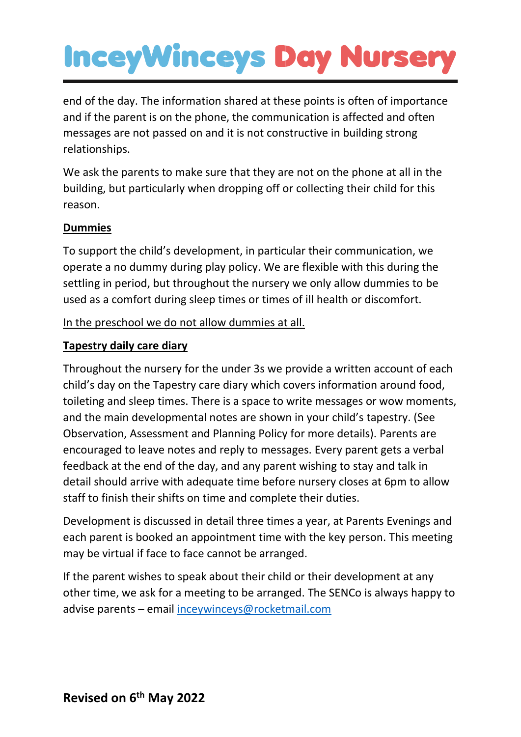# **InceyWinceys Day Nursery**

end of the day. The information shared at these points is often of importance and if the parent is on the phone, the communication is affected and often messages are not passed on and it is not constructive in building strong relationships.

We ask the parents to make sure that they are not on the phone at all in the building, but particularly when dropping off or collecting their child for this reason.

# **Dummies**

To support the child's development, in particular their communication, we operate a no dummy during play policy. We are flexible with this during the settling in period, but throughout the nursery we only allow dummies to be used as a comfort during sleep times or times of ill health or discomfort.

In the preschool we do not allow dummies at all.

# **Tapestry daily care diary**

Throughout the nursery for the under 3s we provide a written account of each child's day on the Tapestry care diary which covers information around food, toileting and sleep times. There is a space to write messages or wow moments, and the main developmental notes are shown in your child's tapestry. (See Observation, Assessment and Planning Policy for more details). Parents are encouraged to leave notes and reply to messages. Every parent gets a verbal feedback at the end of the day, and any parent wishing to stay and talk in detail should arrive with adequate time before nursery closes at 6pm to allow staff to finish their shifts on time and complete their duties.

Development is discussed in detail three times a year, at Parents Evenings and each parent is booked an appointment time with the key person. This meeting may be virtual if face to face cannot be arranged.

If the parent wishes to speak about their child or their development at any other time, we ask for a meeting to be arranged. The SENCo is always happy to advise parents – email [inceywinceys@rocketmail.com](mailto:inceywinceys@rocketmail.com)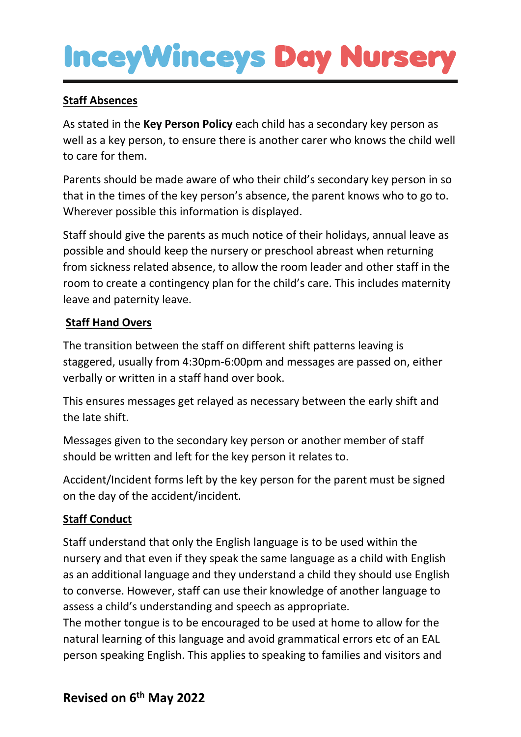# **InceyWinceys Day Nurser**

# **Staff Absences**

As stated in the **Key Person Policy** each child has a secondary key person as well as a key person, to ensure there is another carer who knows the child well to care for them.

Parents should be made aware of who their child's secondary key person in so that in the times of the key person's absence, the parent knows who to go to. Wherever possible this information is displayed.

Staff should give the parents as much notice of their holidays, annual leave as possible and should keep the nursery or preschool abreast when returning from sickness related absence, to allow the room leader and other staff in the room to create a contingency plan for the child's care. This includes maternity leave and paternity leave.

# **Staff Hand Overs**

The transition between the staff on different shift patterns leaving is staggered, usually from 4:30pm-6:00pm and messages are passed on, either verbally or written in a staff hand over book.

This ensures messages get relayed as necessary between the early shift and the late shift.

Messages given to the secondary key person or another member of staff should be written and left for the key person it relates to.

Accident/Incident forms left by the key person for the parent must be signed on the day of the accident/incident.

# **Staff Conduct**

Staff understand that only the English language is to be used within the nursery and that even if they speak the same language as a child with English as an additional language and they understand a child they should use English to converse. However, staff can use their knowledge of another language to assess a child's understanding and speech as appropriate.

The mother tongue is to be encouraged to be used at home to allow for the natural learning of this language and avoid grammatical errors etc of an EAL person speaking English. This applies to speaking to families and visitors and